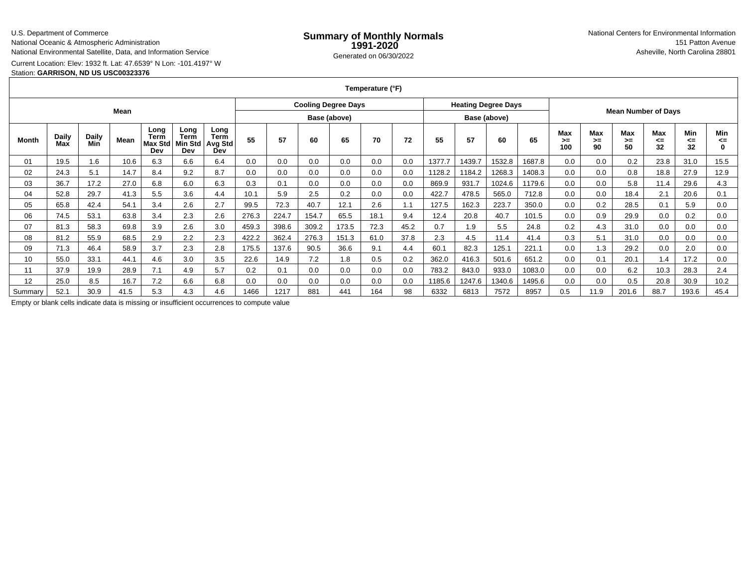### U.S. Department of Commerce

National Oceanic & Atmospheric Administration

National Environmental Satellite, Data, and Information Service

# Current Location: Elev: 1932 ft. Lat: 47.6539° N Lon: -101.4197° W

### Station: **GARRISON, ND US USC00323376**

**Temperature (°F)**

| Mean    |      |        |      |     |     |     | <b>Cooling Degree Days</b><br>Base (above) |       |       |                 |      | <b>Heating Degree Days</b><br>Base (above) |        |        |        | <b>Mean Number of Days</b> |     |      |       |      |       |                     |
|---------|------|--------|------|-----|-----|-----|--------------------------------------------|-------|-------|-----------------|------|--------------------------------------------|--------|--------|--------|----------------------------|-----|------|-------|------|-------|---------------------|
|         |      |        |      |     |     |     |                                            |       |       |                 |      |                                            |        |        |        |                            |     |      |       |      | Month | <b>Daily</b><br>Max |
| 01      | 19.5 | $.6\,$ | 10.6 | 6.3 | 6.6 | 6.4 | 0.0                                        | 0.0   | 0.0   | 0.0             | 0.0  | 0.0                                        | 1377.7 | 1439.7 | 1532.8 | 1687.8                     | 0.0 | 0.0  | 0.2   | 23.8 | 31.0  | 15.5                |
| 02      | 24.3 | 5.1    | 14.7 | 8.4 | 9.2 | 8.7 | 0.0                                        | 0.0   | 0.0   | 0.0             | 0.0  | 0.0                                        | 1128.2 | 1184.2 | 1268.3 | 1408.3                     | 0.0 | 0.0  | 0.8   | 18.8 | 27.9  | 12.9                |
| 03      | 36.7 | 17.2   | 27.0 | 6.8 | 6.0 | 6.3 | 0.3                                        | 0.1   | 0.0   | 0.0             | 0.0  | 0.0                                        | 869.9  | 931.7  | 1024.6 | 1179.6                     | 0.0 | 0.0  | 5.8   | 11.4 | 29.6  | 4.3                 |
| 04      | 52.8 | 29.7   | 41.3 | 5.5 | 3.6 | 4.4 | 10.1                                       | 5.9   | 2.5   | 0.2             | 0.0  | 0.0                                        | 422.7  | 478.5  | 565.0  | 712.8                      | 0.0 | 0.0  | 18.4  | 2.1  | 20.6  | 0.1                 |
| 05      | 65.8 | 42.4   | 54.1 | 3.4 | 2.6 | 2.7 | 99.5                                       | 72.3  | 40.7  | 12.1            | 2.6  | 1.1                                        | 127.5  | 162.3  | 223.7  | 350.0                      | 0.0 | 0.2  | 28.5  | 0.1  | 5.9   | 0.0                 |
| 06      | 74.5 | 53.1   | 63.8 | 3.4 | 2.3 | 2.6 | 276.3                                      | 224.7 | 154.7 | 65.5            | 18.1 | 9.4                                        | 12.4   | 20.8   | 40.7   | 101.5                      | 0.0 | 0.9  | 29.9  | 0.0  | 0.2   | 0.0                 |
| 07      | 81.3 | 58.3   | 69.8 | 3.9 | 2.6 | 3.0 | 459.3                                      | 398.6 | 309.2 | 173.5           | 72.3 | 45.2                                       | 0.7    | 1.9    | 5.5    | 24.8                       | 0.2 | 4.3  | 31.0  | 0.0  | 0.0   | 0.0                 |
| 08      | 81.2 | 55.9   | 68.5 | 2.9 | 2.2 | 2.3 | 422.2                                      | 362.4 | 276.3 | 151.3           | 61.0 | 37.8                                       | 2.3    | 4.5    | 11.4   | 41.4                       | 0.3 | 5.1  | 31.0  | 0.0  | 0.0   | 0.0                 |
| 09      | 71.3 | 46.4   | 58.9 | 3.7 | 2.3 | 2.8 | 175.5                                      | 137.6 | 90.5  | 36.6            | 9.1  | 4.4                                        | 60.1   | 82.3   | 125.1  | 221.1                      | 0.0 | 1.3  | 29.2  | 0.0  | 2.0   | 0.0                 |
| 10      | 55.0 | 33.1   | 44.1 | 4.6 | 3.0 | 3.5 | 22.6                                       | 14.9  | 7.2   | 1.8             | 0.5  | 0.2                                        | 362.0  | 416.3  | 501.6  | 651.2                      | 0.0 | 0.1  | 20.1  | 1.4  | 17.2  | 0.0                 |
| 11      | 37.9 | 19.9   | 28.9 | 7.1 | 4.9 | 5.7 | 0.2                                        | 0.1   | 0.0   | 0.0             | 0.0  | 0.0                                        | 783.2  | 843.0  | 933.0  | 1083.0                     | 0.0 | 0.0  | 6.2   | 10.3 | 28.3  | 2.4                 |
| 12      | 25.0 | 8.5    | 16.7 | 7.2 | 6.6 | 6.8 | 0.0                                        | 0.0   | 0.0   | 0.0             | 0.0  | 0.0                                        | 1185.6 | 1247.6 | 1340.6 | 1495.6                     | 0.0 | 0.0  | 0.5   | 20.8 | 30.9  | 10.2                |
| Summary | 52.1 | 30.9   | 41.5 | 5.3 | 4.3 | 4.6 | 1466                                       | 1217  | 881   | 44 <sup>1</sup> | 164  | 98                                         | 6332   | 6813   | 7572   | 8957                       | 0.5 | 11.9 | 201.6 | 88.7 | 193.6 | 45.4                |

Empty or blank cells indicate data is missing or insufficient occurrences to compute value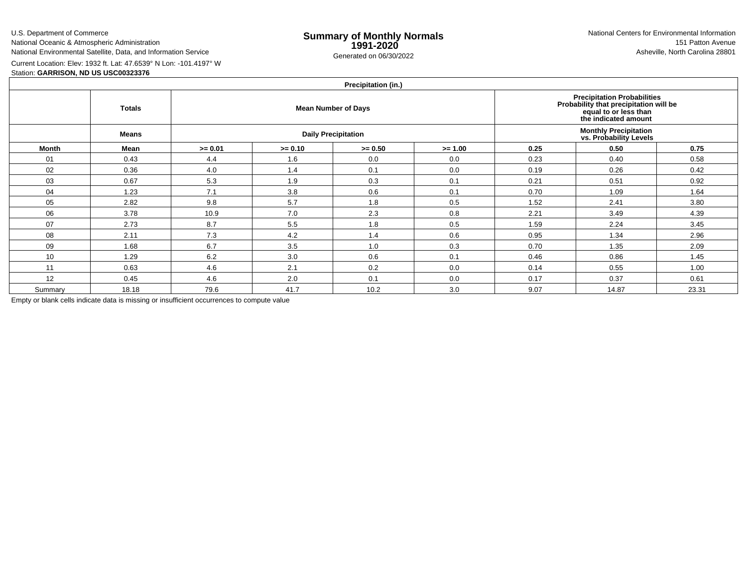U.S. Department of CommerceNational Oceanic & Atmospheric Administration

Station: **GARRISON, ND US USC00323376**

National Environmental Satellite, Data, and Information Service

e **Summary of Monthly Normals**<br> **1991-2020** 151 Patton Avenue **1991-2020** 1997-2020 e Generated on 06/30/2022 Asheville, North Carolina 28801 National Centers for Environmental Information151 Patton Avenue

Current Location: Elev: 1932 ft. Lat: 47.6539° N Lon: -101.4197° W

| Precipitation (in.) |               |           |           |                            |                                                                                                                               |                                                         |       |       |  |  |  |  |  |
|---------------------|---------------|-----------|-----------|----------------------------|-------------------------------------------------------------------------------------------------------------------------------|---------------------------------------------------------|-------|-------|--|--|--|--|--|
|                     | <b>Totals</b> |           |           | <b>Mean Number of Days</b> | <b>Precipitation Probabilities</b><br>Probability that precipitation will be<br>equal to or less than<br>the indicated amount |                                                         |       |       |  |  |  |  |  |
|                     | Means         |           |           | <b>Daily Precipitation</b> |                                                                                                                               | <b>Monthly Precipitation<br/>vs. Probability Levels</b> |       |       |  |  |  |  |  |
| <b>Month</b>        | Mean          | $>= 0.01$ | $>= 0.10$ | $>= 0.50$                  | $>= 1.00$                                                                                                                     | 0.25                                                    | 0.50  | 0.75  |  |  |  |  |  |
| 01                  | 0.43          | 4.4       | 1.6       | 0.0                        | 0.0                                                                                                                           | 0.23                                                    | 0.40  | 0.58  |  |  |  |  |  |
| 02                  | 0.36          | 4.0       | 1.4       | 0.1                        | 0.0                                                                                                                           | 0.19                                                    | 0.26  | 0.42  |  |  |  |  |  |
| 03                  | 0.67          | 5.3       | 1.9       | 0.3                        | 0.1                                                                                                                           | 0.21                                                    | 0.51  | 0.92  |  |  |  |  |  |
| 04                  | 1.23          | 7.1       | 3.8       | 0.6                        | 0.1                                                                                                                           | 0.70                                                    | 1.09  | 1.64  |  |  |  |  |  |
| 05                  | 2.82          | 9.8       | 5.7       | 1.8                        | 0.5                                                                                                                           | 1.52                                                    | 2.41  | 3.80  |  |  |  |  |  |
| 06                  | 3.78          | 10.9      | 7.0       | 2.3                        | 0.8                                                                                                                           | 2.21                                                    | 3.49  | 4.39  |  |  |  |  |  |
| 07                  | 2.73          | 8.7       | 5.5       | 1.8                        | 0.5                                                                                                                           | 1.59                                                    | 2.24  | 3.45  |  |  |  |  |  |
| 08                  | 2.11          | 7.3       | 4.2       | 1.4                        | 0.6                                                                                                                           | 0.95                                                    | 1.34  | 2.96  |  |  |  |  |  |
| 09                  | 1.68          | 6.7       | 3.5       | 1.0                        | 0.3                                                                                                                           | 0.70                                                    | 1.35  | 2.09  |  |  |  |  |  |
| 10                  | 1.29          | 6.2       | 3.0       | 0.6                        | 0.1                                                                                                                           | 0.46                                                    | 0.86  | 1.45  |  |  |  |  |  |
| 11                  | 0.63          | 4.6       | 2.1       | 0.2                        | 0.0                                                                                                                           | 0.14                                                    | 0.55  | 1.00  |  |  |  |  |  |
| 12                  | 0.45          | 4.6       | 2.0       | 0.1                        | 0.0                                                                                                                           | 0.17                                                    | 0.37  | 0.61  |  |  |  |  |  |
| Summary             | 18.18         | 79.6      | 41.7      | 10.2                       | 3.0                                                                                                                           | 9.07                                                    | 14.87 | 23.31 |  |  |  |  |  |

Empty or blank cells indicate data is missing or insufficient occurrences to compute value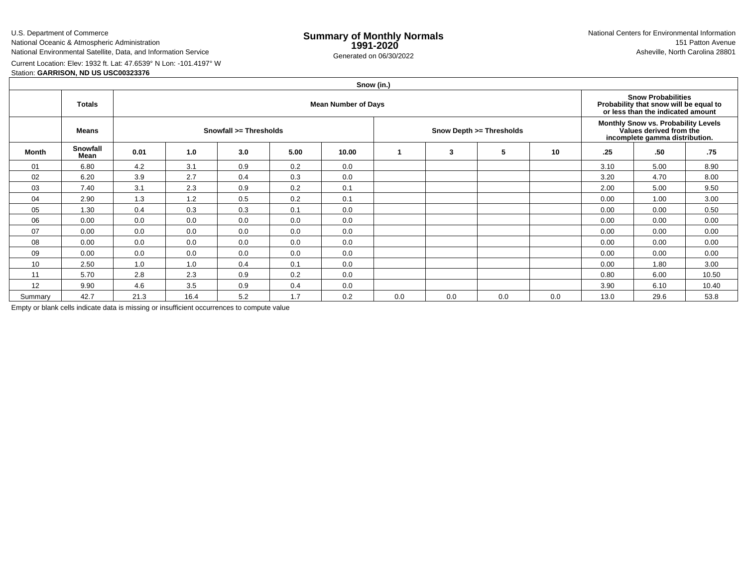U.S. Department of CommerceNational Oceanic & Atmospheric Administration

National Environmental Satellite, Data, and Information Service

e **Summary of Monthly Normals**<br> **1991-2020** 151 Patton Avenue **1991-2020** 1997-2020 e Generated on 06/30/2022 Asheville, North Carolina 28801 National Centers for Environmental Information151 Patton Avenue

Current Location: Elev: 1932 ft. Lat: 47.6539° N Lon: -101.4197° W

## Station: **GARRISON, ND US USC00323376**

|         | Snow (in.)       |                            |      |                        |      |       |                          |     |                                                                                                  |     |      |                                                                                                          |       |  |  |
|---------|------------------|----------------------------|------|------------------------|------|-------|--------------------------|-----|--------------------------------------------------------------------------------------------------|-----|------|----------------------------------------------------------------------------------------------------------|-------|--|--|
|         | <b>Totals</b>    | <b>Mean Number of Days</b> |      |                        |      |       |                          |     |                                                                                                  |     |      | <b>Snow Probabilities</b><br>Probability that snow will be equal to<br>or less than the indicated amount |       |  |  |
|         | <b>Means</b>     |                            |      | Snowfall >= Thresholds |      |       | Snow Depth >= Thresholds |     | Monthly Snow vs. Probability Levels<br>Values derived from the<br>incomplete gamma distribution. |     |      |                                                                                                          |       |  |  |
| Month   | Snowfall<br>Mean | 0.01                       | 1.0  | 3.0                    | 5.00 | 10.00 |                          | 3   | 5                                                                                                | 10  | .25  | .50                                                                                                      | .75   |  |  |
| 01      | 6.80             | 4.2                        | 3.1  | 0.9                    | 0.2  | 0.0   |                          |     |                                                                                                  |     | 3.10 | 5.00                                                                                                     | 8.90  |  |  |
| 02      | 6.20             | 3.9                        | 2.7  | 0.4                    | 0.3  | 0.0   |                          |     |                                                                                                  |     | 3.20 | 4.70                                                                                                     | 8.00  |  |  |
| 03      | 7.40             | 3.1                        | 2.3  | 0.9                    | 0.2  | 0.1   |                          |     |                                                                                                  |     | 2.00 | 5.00                                                                                                     | 9.50  |  |  |
| 04      | 2.90             | 1.3                        | 1.2  | 0.5                    | 0.2  | 0.1   |                          |     |                                                                                                  |     | 0.00 | 1.00                                                                                                     | 3.00  |  |  |
| 05      | 1.30             | 0.4                        | 0.3  | 0.3                    | 0.1  | 0.0   |                          |     |                                                                                                  |     | 0.00 | 0.00                                                                                                     | 0.50  |  |  |
| 06      | 0.00             | 0.0                        | 0.0  | 0.0                    | 0.0  | 0.0   |                          |     |                                                                                                  |     | 0.00 | 0.00                                                                                                     | 0.00  |  |  |
| 07      | 0.00             | 0.0                        | 0.0  | 0.0                    | 0.0  | 0.0   |                          |     |                                                                                                  |     | 0.00 | 0.00                                                                                                     | 0.00  |  |  |
| 08      | 0.00             | 0.0                        | 0.0  | 0.0                    | 0.0  | 0.0   |                          |     |                                                                                                  |     | 0.00 | 0.00                                                                                                     | 0.00  |  |  |
| 09      | 0.00             | 0.0                        | 0.0  | 0.0                    | 0.0  | 0.0   |                          |     |                                                                                                  |     | 0.00 | 0.00                                                                                                     | 0.00  |  |  |
| 10      | 2.50             | 1.0                        | 1.0  | 0.4                    | 0.1  | 0.0   |                          |     |                                                                                                  |     | 0.00 | 1.80                                                                                                     | 3.00  |  |  |
| 11      | 5.70             | 2.8                        | 2.3  | 0.9                    | 0.2  | 0.0   |                          |     |                                                                                                  |     | 0.80 | 6.00                                                                                                     | 10.50 |  |  |
| 12      | 9.90             | 4.6                        | 3.5  | 0.9                    | 0.4  | 0.0   |                          |     |                                                                                                  |     | 3.90 | 6.10                                                                                                     | 10.40 |  |  |
| Summary | 42.7             | 21.3                       | 16.4 | 5.2                    | 1.7  | 0.2   | 0.0                      | 0.0 | 0.0                                                                                              | 0.0 | 13.0 | 29.6                                                                                                     | 53.8  |  |  |

Empty or blank cells indicate data is missing or insufficient occurrences to compute value